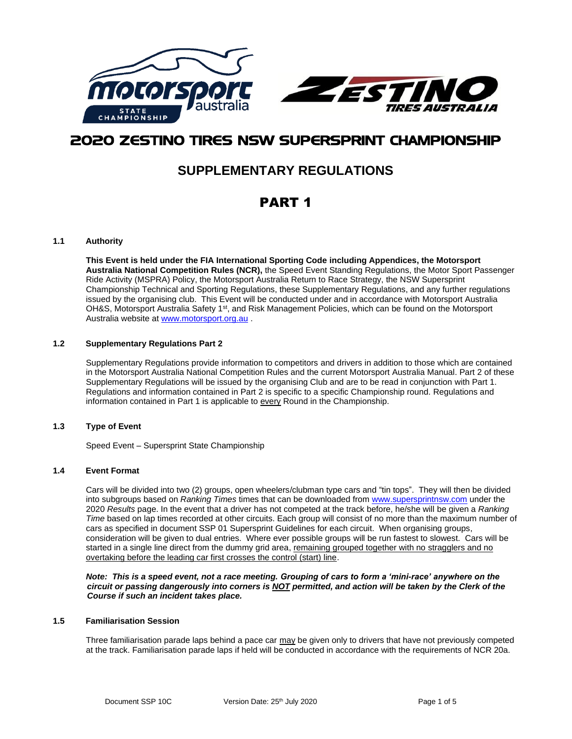

# 2020 ZESTINO TIRES NSW SUPERSPRINT CHAMPIONSHIP

# **SUPPLEMENTARY REGULATIONS**

# PART 1

## **1.1 Authority**

**This Event is held under the FIA International Sporting Code including Appendices, the Motorsport Australia National Competition Rules (NCR),** the Speed Event Standing Regulations, the Motor Sport Passenger Ride Activity (MSPRA) Policy, the Motorsport Australia Return to Race Strategy, the NSW Supersprint Championship Technical and Sporting Regulations, these Supplementary Regulations, and any further regulations issued by the organising club. This Event will be conducted under and in accordance with Motorsport Australia OH&S, Motorsport Australia Safety 1<sup>st</sup>, and Risk Management Policies, which can be found on the Motorsport Australia website a[t www.motorsport.org.au](http://www.motorsport.org.au/) .

## **1.2 Supplementary Regulations Part 2**

Supplementary Regulations provide information to competitors and drivers in addition to those which are contained in the Motorsport Australia National Competition Rules and the current Motorsport Australia Manual. Part 2 of these Supplementary Regulations will be issued by the organising Club and are to be read in conjunction with Part 1. Regulations and information contained in Part 2 is specific to a specific Championship round. Regulations and information contained in Part 1 is applicable to every Round in the Championship.

### **1.3 Type of Event**

Speed Event – Supersprint State Championship

### **1.4 Event Format**

Cars will be divided into two (2) groups, open wheelers/clubman type cars and "tin tops". They will then be divided into subgroups based on *Ranking Times* times that can be downloaded from [www.supersprintnsw.com](http://www.supersprintnsw.com/) under the 2020 *Results* page. In the event that a driver has not competed at the track before, he/she will be given a *Ranking Time* based on lap times recorded at other circuits. Each group will consist of no more than the maximum number of cars as specified in document SSP 01 Supersprint Guidelines for each circuit. When organising groups, consideration will be given to dual entries. Where ever possible groups will be run fastest to slowest. Cars will be started in a single line direct from the dummy grid area, remaining grouped together with no stragglers and no overtaking before the leading car first crosses the control (start) line.

*Note: This is a speed event, not a race meeting. Grouping of cars to form a 'mini-race' anywhere on the circuit or passing dangerously into corners is NOT permitted, and action will be taken by the Clerk of the Course if such an incident takes place.*

## **1.5 Familiarisation Session**

Three familiarisation parade laps behind a pace car may be given only to drivers that have not previously competed at the track. Familiarisation parade laps if held will be conducted in accordance with the requirements of NCR 20a.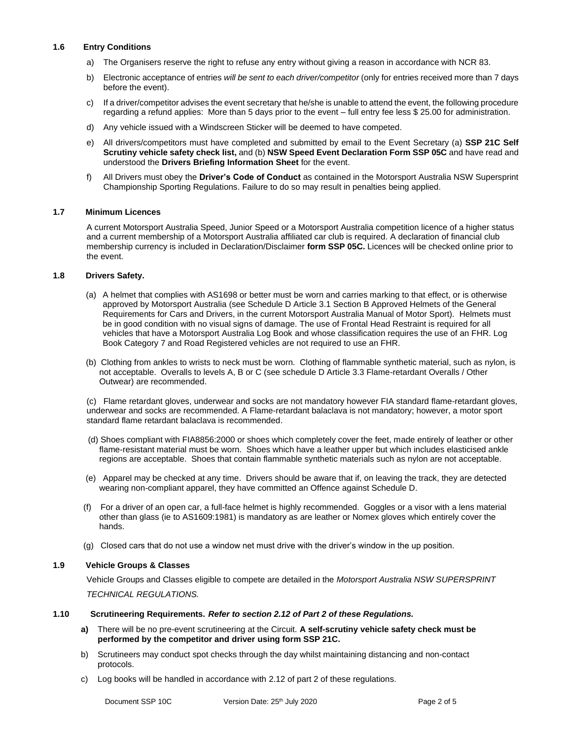## **1.6 Entry Conditions**

- a) The Organisers reserve the right to refuse any entry without giving a reason in accordance with NCR 83.
- b) Electronic acceptance of entries *will be sent to each driver/competitor* (only for entries received more than 7 days before the event).
- c) If a driver/competitor advises the event secretary that he/she is unable to attend the event, the following procedure regarding a refund applies: More than 5 days prior to the event – full entry fee less \$ 25.00 for administration.
- d) Any vehicle issued with a Windscreen Sticker will be deemed to have competed.
- e) All drivers/competitors must have completed and submitted by email to the Event Secretary (a) **SSP 21C Self Scrutiny vehicle safety check list,** and (b) **NSW Speed Event Declaration Form SSP 05C** and have read and understood the **Drivers Briefing Information Sheet** for the event.
- f) All Drivers must obey the **Driver's Code of Conduct** as contained in the Motorsport Australia NSW Supersprint Championship Sporting Regulations. Failure to do so may result in penalties being applied.

### **1.7 Minimum Licences**

A current Motorsport Australia Speed, Junior Speed or a Motorsport Australia competition licence of a higher status and a current membership of a Motorsport Australia affiliated car club is required. A declaration of financial club membership currency is included in Declaration/Disclaimer **form SSP 05C.** Licences will be checked online prior to the event.

### **1.8 Drivers Safety.**

- (a) A helmet that complies with AS1698 or better must be worn and carries marking to that effect, or is otherwise approved by Motorsport Australia (see Schedule D Article 3.1 Section B Approved Helmets of the General Requirements for Cars and Drivers, in the current Motorsport Australia Manual of Motor Sport). Helmets must be in good condition with no visual signs of damage. The use of Frontal Head Restraint is required for all vehicles that have a Motorsport Australia Log Book and whose classification requires the use of an FHR. Log Book Category 7 and Road Registered vehicles are not required to use an FHR.
- (b) Clothing from ankles to wrists to neck must be worn. Clothing of flammable synthetic material, such as nylon, is not acceptable. Overalls to levels A, B or C (see schedule D Article 3.3 Flame-retardant Overalls / Other Outwear) are recommended.

(c) Flame retardant gloves, underwear and socks are not mandatory however FIA standard flame-retardant gloves, underwear and socks are recommended. A Flame-retardant balaclava is not mandatory; however, a motor sport standard flame retardant balaclava is recommended.

- (d) Shoes compliant with FIA8856:2000 or shoes which completely cover the feet, made entirely of leather or other flame-resistant material must be worn. Shoes which have a leather upper but which includes elasticised ankle regions are acceptable. Shoes that contain flammable synthetic materials such as nylon are not acceptable.
- (e) Apparel may be checked at any time. Drivers should be aware that if, on leaving the track, they are detected wearing non-compliant apparel, they have committed an Offence against Schedule D.
- (f) For a driver of an open car, a full-face helmet is highly recommended. Goggles or a visor with a lens material other than glass (ie to AS1609:1981) is mandatory as are leather or Nomex gloves which entirely cover the hands.
- (g) Closed cars that do not use a window net must drive with the driver's window in the up position.

## **1.9 Vehicle Groups & Classes**

Vehicle Groups and Classes eligible to compete are detailed in the *Motorsport Australia NSW SUPERSPRINT TECHNICAL REGULATIONS.* 

#### **1.10 Scrutineering Requirements.** *Refer to section 2.12 of Part 2 of these Regulations.*

- **a)** There will be no pre-event scrutineering at the Circuit. **A self-scrutiny vehicle safety check must be performed by the competitor and driver using form SSP 21C.**
- b) Scrutineers may conduct spot checks through the day whilst maintaining distancing and non-contact protocols.
- c) Log books will be handled in accordance with 2.12 of part 2 of these regulations.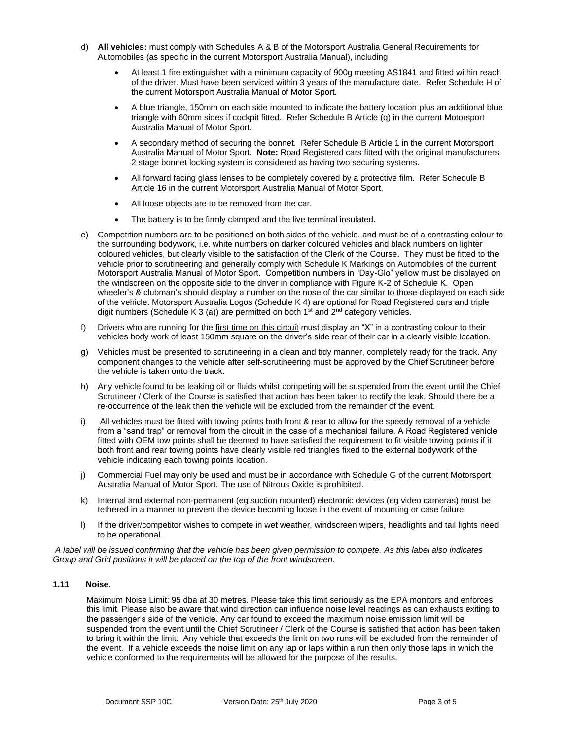- d) **All vehicles:** must comply with Schedules A & B of the Motorsport Australia General Requirements for Automobiles (as specific in the current Motorsport Australia Manual), including
	- At least 1 fire extinguisher with a minimum capacity of 900g meeting AS1841 and fitted within reach of the driver. Must have been serviced within 3 years of the manufacture date. Refer Schedule H of the current Motorsport Australia Manual of Motor Sport.
	- A blue triangle, 150mm on each side mounted to indicate the battery location plus an additional blue triangle with 60mm sides if cockpit fitted. Refer Schedule B Article (q) in the current Motorsport Australia Manual of Motor Sport.
	- A secondary method of securing the bonnet. Refer Schedule B Article 1 in the current Motorsport Australia Manual of Motor Sport. **Note:** Road Registered cars fitted with the original manufacturers 2 stage bonnet locking system is considered as having two securing systems.
	- All forward facing glass lenses to be completely covered by a protective film. Refer Schedule B Article 16 in the current Motorsport Australia Manual of Motor Sport.
	- All loose objects are to be removed from the car.
	- The battery is to be firmly clamped and the live terminal insulated.
- e) Competition numbers are to be positioned on both sides of the vehicle, and must be of a contrasting colour to the surrounding bodywork, i.e. white numbers on darker coloured vehicles and black numbers on lighter coloured vehicles, but clearly visible to the satisfaction of the Clerk of the Course. They must be fitted to the vehicle prior to scrutineering and generally comply with Schedule K Markings on Automobiles of the current Motorsport Australia Manual of Motor Sport. Competition numbers in "Day-Glo" yellow must be displayed on the windscreen on the opposite side to the driver in compliance with Figure K-2 of Schedule K. Open wheeler's & clubman's should display a number on the nose of the car similar to those displayed on each side of the vehicle. Motorsport Australia Logos (Schedule K 4) are optional for Road Registered cars and triple digit numbers (Schedule K 3 (a)) are permitted on both  $1<sup>st</sup>$  and  $2<sup>nd</sup>$  category vehicles.
- f) Drivers who are running for the first time on this circuit must display an "X" in a contrasting colour to their vehicles body work of least 150mm square on the driver's side rear of their car in a clearly visible location.
- g) Vehicles must be presented to scrutineering in a clean and tidy manner, completely ready for the track. Any component changes to the vehicle after self-scrutineering must be approved by the Chief Scrutineer before the vehicle is taken onto the track.
- h) Any vehicle found to be leaking oil or fluids whilst competing will be suspended from the event until the Chief Scrutineer / Clerk of the Course is satisfied that action has been taken to rectify the leak. Should there be a re-occurrence of the leak then the vehicle will be excluded from the remainder of the event.
- i) All vehicles must be fitted with towing points both front & rear to allow for the speedy removal of a vehicle from a "sand trap" or removal from the circuit in the case of a mechanical failure. A Road Registered vehicle fitted with OEM tow points shall be deemed to have satisfied the requirement to fit visible towing points if it both front and rear towing points have clearly visible red triangles fixed to the external bodywork of the vehicle indicating each towing points location.
- j) Commercial Fuel may only be used and must be in accordance with Schedule G of the current Motorsport Australia Manual of Motor Sport. The use of Nitrous Oxide is prohibited.
- k) Internal and external non-permanent (eg suction mounted) electronic devices (eg video cameras) must be tethered in a manner to prevent the device becoming loose in the event of mounting or case failure.
- l) If the driver/competitor wishes to compete in wet weather, windscreen wipers, headlights and tail lights need to be operational.

*A label will be issued confirming that the vehicle has been given permission to compete. As this label also indicates Group and Grid positions it will be placed on the top of the front windscreen.*

### **1.11 Noise.**

Maximum Noise Limit: 95 dba at 30 metres. Please take this limit seriously as the EPA monitors and enforces this limit. Please also be aware that wind direction can influence noise level readings as can exhausts exiting to the passenger's side of the vehicle. Any car found to exceed the maximum noise emission limit will be suspended from the event until the Chief Scrutineer / Clerk of the Course is satisfied that action has been taken to bring it within the limit. Any vehicle that exceeds the limit on two runs will be excluded from the remainder of the event. If a vehicle exceeds the noise limit on any lap or laps within a run then only those laps in which the vehicle conformed to the requirements will be allowed for the purpose of the results.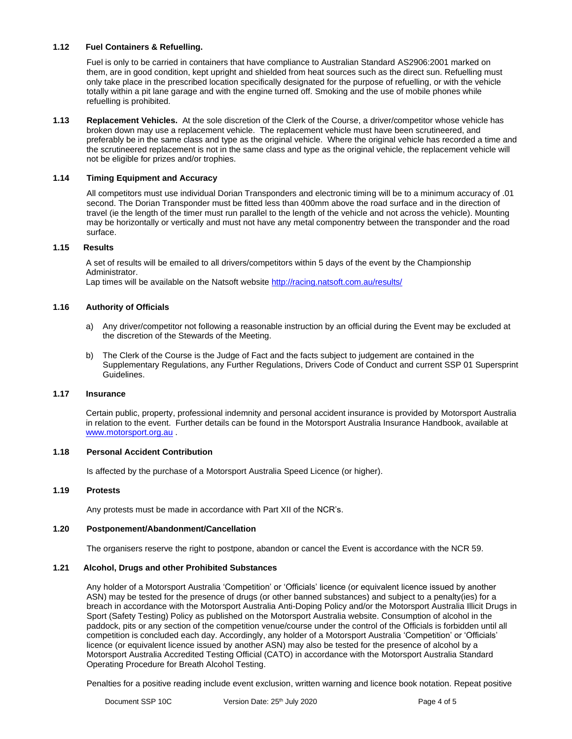#### **1.12 Fuel Containers & Refuelling.**

Fuel is only to be carried in containers that have compliance to Australian Standard AS2906:2001 marked on them, are in good condition, kept upright and shielded from heat sources such as the direct sun. Refuelling must only take place in the prescribed location specifically designated for the purpose of refuelling, or with the vehicle totally within a pit lane garage and with the engine turned off. Smoking and the use of mobile phones while refuelling is prohibited.

**1.13 Replacement Vehicles.** At the sole discretion of the Clerk of the Course, a driver/competitor whose vehicle has broken down may use a replacement vehicle. The replacement vehicle must have been scrutineered, and preferably be in the same class and type as the original vehicle. Where the original vehicle has recorded a time and the scrutineered replacement is not in the same class and type as the original vehicle, the replacement vehicle will not be eligible for prizes and/or trophies.

#### **1.14 Timing Equipment and Accuracy**

All competitors must use individual Dorian Transponders and electronic timing will be to a minimum accuracy of .01 second. The Dorian Transponder must be fitted less than 400mm above the road surface and in the direction of travel (ie the length of the timer must run parallel to the length of the vehicle and not across the vehicle). Mounting may be horizontally or vertically and must not have any metal componentry between the transponder and the road surface.

#### **1.15 Results**

A set of results will be emailed to all drivers/competitors within 5 days of the event by the Championship Administrator.

Lap times will be available on the Natsoft website <http://racing.natsoft.com.au/results/>

### **1.16 Authority of Officials**

- a) Any driver/competitor not following a reasonable instruction by an official during the Event may be excluded at the discretion of the Stewards of the Meeting.
- b) The Clerk of the Course is the Judge of Fact and the facts subject to judgement are contained in the Supplementary Regulations, any Further Regulations, Drivers Code of Conduct and current SSP 01 Supersprint Guidelines.

#### **1.17 Insurance**

Certain public, property, professional indemnity and personal accident insurance is provided by Motorsport Australia in relation to the event. Further details can be found in the Motorsport Australia Insurance Handbook, available at [www.motorsport.org.au](http://www.motorsport.org.au/) .

# **1.18 Personal Accident Contribution**

Is affected by the purchase of a Motorsport Australia Speed Licence (or higher).

#### **1.19 Protests**

Any protests must be made in accordance with Part XII of the NCR's.

#### **1.20 Postponement/Abandonment/Cancellation**

The organisers reserve the right to postpone, abandon or cancel the Event is accordance with the NCR 59.

#### **1.21 Alcohol, Drugs and other Prohibited Substances**

Any holder of a Motorsport Australia 'Competition' or 'Officials' licence (or equivalent licence issued by another ASN) may be tested for the presence of drugs (or other banned substances) and subject to a penalty(ies) for a breach in accordance with the Motorsport Australia Anti-Doping Policy and/or the Motorsport Australia Illicit Drugs in Sport (Safety Testing) Policy as published on the Motorsport Australia website. Consumption of alcohol in the paddock, pits or any section of the competition venue/course under the control of the Officials is forbidden until all competition is concluded each day. Accordingly, any holder of a Motorsport Australia 'Competition' or 'Officials' licence (or equivalent licence issued by another ASN) may also be tested for the presence of alcohol by a Motorsport Australia Accredited Testing Official (CATO) in accordance with the Motorsport Australia Standard Operating Procedure for Breath Alcohol Testing.

Penalties for a positive reading include event exclusion, written warning and licence book notation. Repeat positive